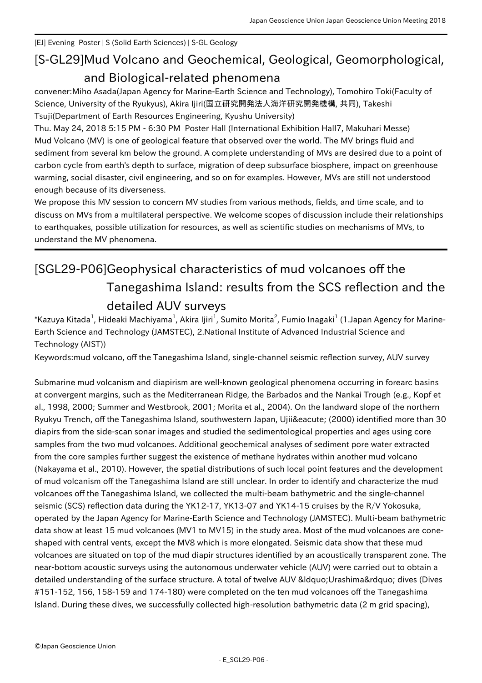[EJ] Evening Poster | S (Solid Earth Sciences) | S-GL Geology

## [S-GL29] Mud Volcano and Geochemical, Geological, Geomorphological, and Biological-related phenomena

convener:Miho Asada(Japan Agency for Marine-Earth Science and Technology), Tomohiro Toki(Faculty of Science, University of the Ryukyus), Akira Ijiri(国立研究開発法人海洋研究開発機構, 共同), Takeshi Tsuji(Department of Earth Resources Engineering, Kyushu University)

Thu. May 24, 2018 5:15 PM - 6:30 PM Poster Hall (International Exhibition Hall7, Makuhari Messe) Mud Volcano (MV) is one of geological feature that observed over the world. The MV brings fluid and sediment from several km below the ground. A complete understanding of MVs are desired due to a point of carbon cycle from earth's depth to surface, migration of deep subsurface biosphere, impact on greenhouse warming, social disaster, civil engineering, and so on for examples. However, MVs are still not understood enough because of its diverseness.

We propose this MV session to concern MV studies from various methods, fields, and time scale, and to discuss on MVs from a multilateral perspective. We welcome scopes of discussion include their relationships to earthquakes, possible utilization for resources, as well as scientific studies on mechanisms of MVs, to understand the MV phenomena.

## [SGL29-P06] Geophysical characteristics of mud volcanoes off the Tanegashima Island: results from the SCS reflection and the detailed AUV surveys

 $^*$ Kazuya Kitada $^1$ , Hideaki Machiyama $^1$ , Akira Ijiri $^1$ , Sumito Morita $^2$ , Fumio Inagaki $^1$  (1.Japan Agency for Marine-Earth Science and Technology (JAMSTEC), 2.National Institute of Advanced Industrial Science and Technology (AIST))

Keywords:mud volcano, off the Tanegashima Island, single-channel seismic reflection survey, AUV survey

Submarine mud volcanism and diapirism are well-known geological phenomena occurring in forearc basins at convergent margins, such as the Mediterranean Ridge, the Barbados and the Nankai Trough (e.g., Kopf et al., 1998, 2000; Summer and Westbrook, 2001; Morita et al., 2004). On the landward slope of the northern Ryukyu Trench, off the Tanegashima Island, southwestern Japan, Ujiié (2000) identified more than 30 diapirs from the side-scan sonar images and studied the sedimentological properties and ages using core samples from the two mud volcanoes. Additional geochemical analyses of sediment pore water extracted from the core samples further suggest the existence of methane hydrates within another mud volcano (Nakayama et al., 2010). However, the spatial distributions of such local point features and the development of mud volcanism off the Tanegashima Island are still unclear. In order to identify and characterize the mud volcanoes off the Tanegashima Island, we collected the multi-beam bathymetric and the single-channel seismic (SCS) reflection data during the YK12-17, YK13-07 and YK14-15 cruises by the R/V Yokosuka, operated by the Japan Agency for Marine-Earth Science and Technology (JAMSTEC). Multi-beam bathymetric data show at least 15 mud volcanoes (MV1 to MV15) in the study area. Most of the mud volcanoes are coneshaped with central vents, except the MV8 which is more elongated. Seismic data show that these mud volcanoes are situated on top of the mud diapir structures identified by an acoustically transparent zone. The near-bottom acoustic surveys using the autonomous underwater vehicle (AUV) were carried out to obtain a detailed understanding of the surface structure. A total of twelve AUV " Urashima" dives (Dives #151-152, 156, 158-159 and 174-180) were completed on the ten mud volcanoes off the Tanegashima Island. During these dives, we successfully collected high-resolution bathymetric data (2 m grid spacing),